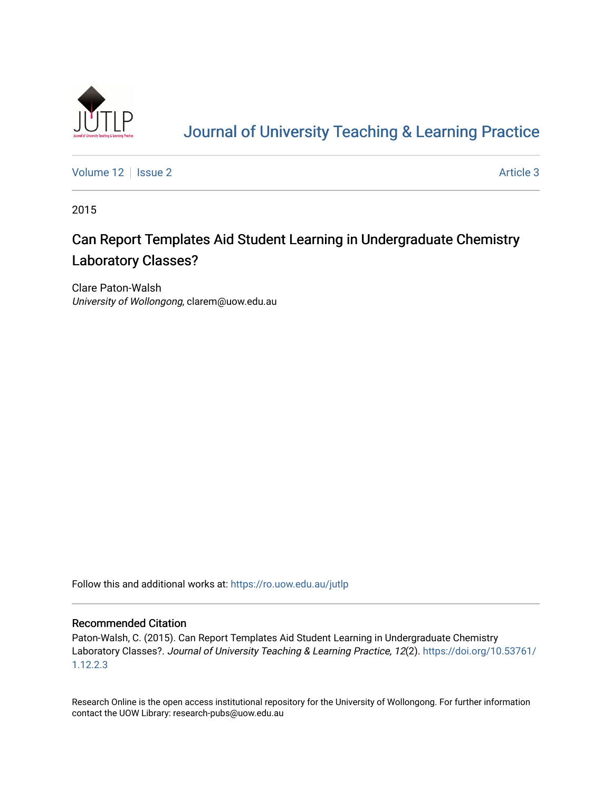

# [Journal of University Teaching & Learning Practice](https://ro.uow.edu.au/jutlp)

[Volume 12](https://ro.uow.edu.au/jutlp/vol12) | [Issue 2](https://ro.uow.edu.au/jutlp/vol12/iss2) Article 3

2015

# Can Report Templates Aid Student Learning in Undergraduate Chemistry Laboratory Classes?

Clare Paton-Walsh University of Wollongong, clarem@uow.edu.au

Follow this and additional works at: [https://ro.uow.edu.au/jutlp](https://ro.uow.edu.au/jutlp?utm_source=ro.uow.edu.au%2Fjutlp%2Fvol12%2Fiss2%2F3&utm_medium=PDF&utm_campaign=PDFCoverPages) 

### Recommended Citation

Paton-Walsh, C. (2015). Can Report Templates Aid Student Learning in Undergraduate Chemistry Laboratory Classes?. Journal of University Teaching & Learning Practice, 12(2). [https://doi.org/10.53761/](https://doi.org/10.53761/1.12.2.3) [1.12.2.3](https://doi.org/10.53761/1.12.2.3) 

Research Online is the open access institutional repository for the University of Wollongong. For further information contact the UOW Library: research-pubs@uow.edu.au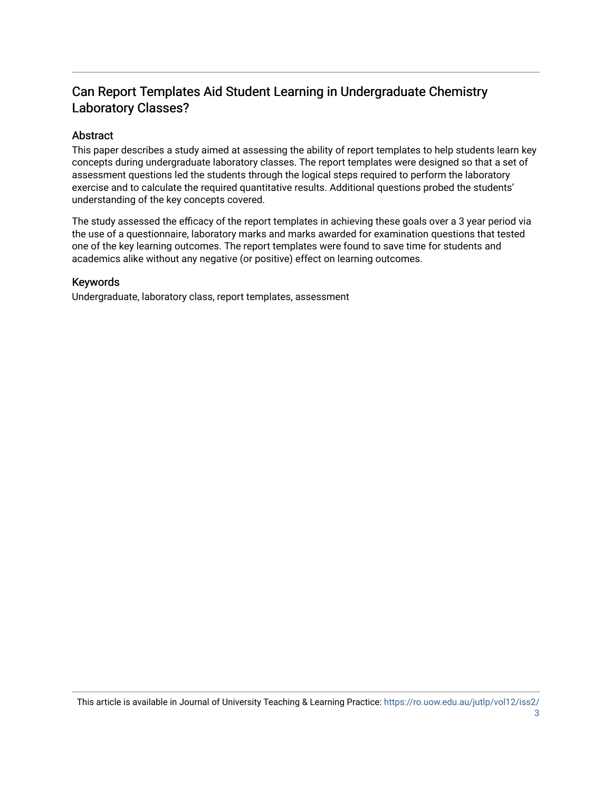# Can Report Templates Aid Student Learning in Undergraduate Chemistry Laboratory Classes?

# Abstract

This paper describes a study aimed at assessing the ability of report templates to help students learn key concepts during undergraduate laboratory classes. The report templates were designed so that a set of assessment questions led the students through the logical steps required to perform the laboratory exercise and to calculate the required quantitative results. Additional questions probed the students' understanding of the key concepts covered.

The study assessed the efficacy of the report templates in achieving these goals over a 3 year period via the use of a questionnaire, laboratory marks and marks awarded for examination questions that tested one of the key learning outcomes. The report templates were found to save time for students and academics alike without any negative (or positive) effect on learning outcomes.

## Keywords

Undergraduate, laboratory class, report templates, assessment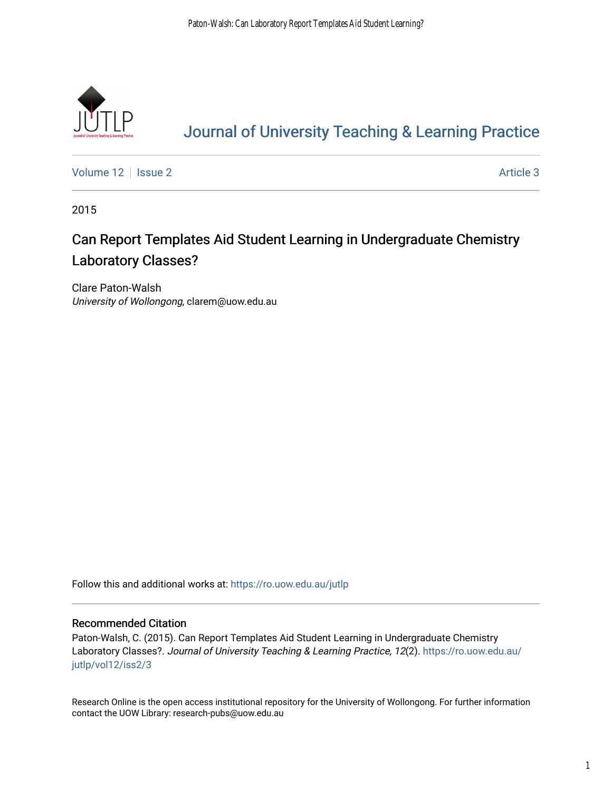

# [Journal of University Teaching & Learning Practice](https://ro.uow.edu.au/jutlp)

[Volume 12](https://ro.uow.edu.au/jutlp/vol12) | [Issue 2](https://ro.uow.edu.au/jutlp/vol12/iss2) Article 3

2015

# Can Report Templates Aid Student Learning in Undergraduate Chemistry Laboratory Classes?

Clare Paton-Walsh University of Wollongong, clarem@uow.edu.au

Follow this and additional works at: [https://ro.uow.edu.au/jutlp](https://ro.uow.edu.au/jutlp?utm_source=ro.uow.edu.au%2Fjutlp%2Fvol12%2Fiss2%2F3&utm_medium=PDF&utm_campaign=PDFCoverPages) 

## Recommended Citation

Paton-Walsh, C. (2015). Can Report Templates Aid Student Learning in Undergraduate Chemistry Laboratory Classes?. Journal of University Teaching & Learning Practice, 12(2). [https://ro.uow.edu.au/](https://ro.uow.edu.au/jutlp/vol12/iss2/3?utm_source=ro.uow.edu.au%2Fjutlp%2Fvol12%2Fiss2%2F3&utm_medium=PDF&utm_campaign=PDFCoverPages) [jutlp/vol12/iss2/3](https://ro.uow.edu.au/jutlp/vol12/iss2/3?utm_source=ro.uow.edu.au%2Fjutlp%2Fvol12%2Fiss2%2F3&utm_medium=PDF&utm_campaign=PDFCoverPages) 

Research Online is the open access institutional repository for the University of Wollongong. For further information contact the UOW Library: research-pubs@uow.edu.au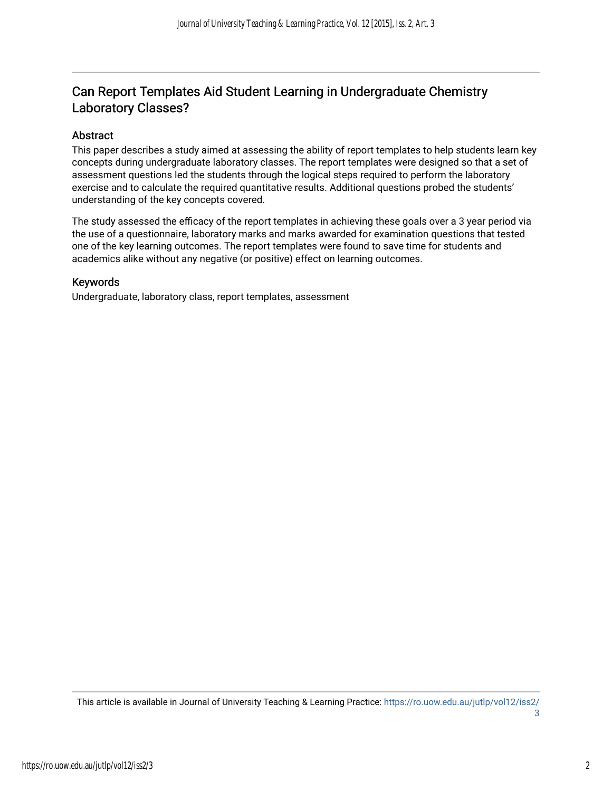# Can Report Templates Aid Student Learning in Undergraduate Chemistry Laboratory Classes?

## Abstract

This paper describes a study aimed at assessing the ability of report templates to help students learn key concepts during undergraduate laboratory classes. The report templates were designed so that a set of assessment questions led the students through the logical steps required to perform the laboratory exercise and to calculate the required quantitative results. Additional questions probed the students' understanding of the key concepts covered.

The study assessed the efficacy of the report templates in achieving these goals over a 3 year period via the use of a questionnaire, laboratory marks and marks awarded for examination questions that tested one of the key learning outcomes. The report templates were found to save time for students and academics alike without any negative (or positive) effect on learning outcomes.

### Keywords

Undergraduate, laboratory class, report templates, assessment

This article is available in Journal of University Teaching & Learning Practice: [https://ro.uow.edu.au/jutlp/vol12/iss2/](https://ro.uow.edu.au/jutlp/vol12/iss2/3) [3](https://ro.uow.edu.au/jutlp/vol12/iss2/3)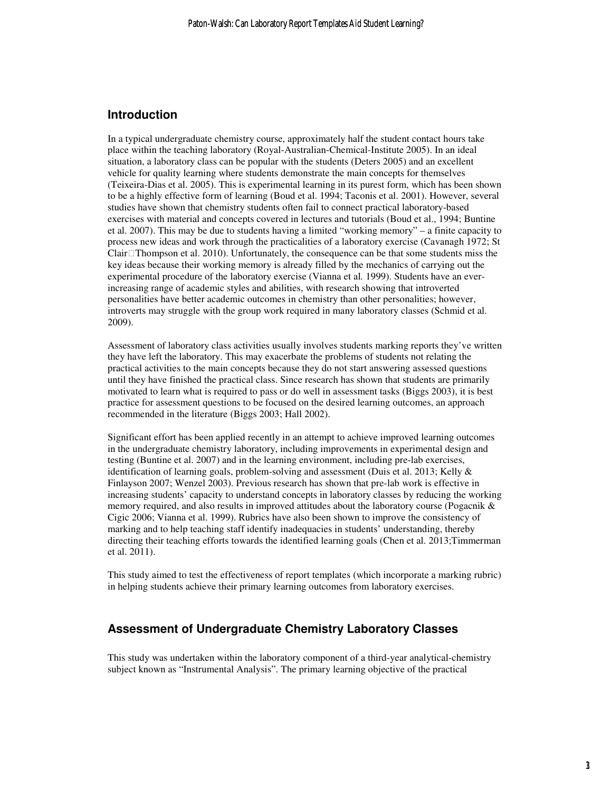#### **Introduction**

In a typical undergraduate chemistry course, approximately half the student contact hours take place within the teaching laboratory (Royal-Australian-Chemical-Institute 2005). In an ideal situation, a laboratory class can be popular with the students (Deters 2005) and an excellent vehicle for quality learning where students demonstrate the main concepts for themselves (Teixeira-Dias et al. 2005). This is experimental learning in its purest form, which has been shown to be a highly effective form of learning (Boud et al. 1994; Taconis et al. 2001). However, several studies have shown that chemistry students often fail to connect practical laboratory-based exercises with material and concepts covered in lectures and tutorials (Boud et al., 1994; Buntine et al. 2007). This may be due to students having a limited "working memory" – a finite capacity to process new ideas and work through the practicalities of a laboratory exercise (Cavanagh 1972; St Clair Thompson et al. 2010). Unfortunately, the consequence can be that some students miss the key ideas because their working memory is already filled by the mechanics of carrying out the experimental procedure of the laboratory exercise (Vianna et al*.* 1999). Students have an everincreasing range of academic styles and abilities, with research showing that introverted personalities have better academic outcomes in chemistry than other personalities; however, introverts may struggle with the group work required in many laboratory classes (Schmid et al. 2009).

Assessment of laboratory class activities usually involves students marking reports they've written they have left the laboratory. This may exacerbate the problems of students not relating the practical activities to the main concepts because they do not start answering assessed questions until they have finished the practical class. Since research has shown that students are primarily motivated to learn what is required to pass or do well in assessment tasks (Biggs 2003), it is best practice for assessment questions to be focused on the desired learning outcomes, an approach recommended in the literature (Biggs 2003; Hall 2002).

Significant effort has been applied recently in an attempt to achieve improved learning outcomes in the undergraduate chemistry laboratory, including improvements in experimental design and testing (Buntine et al. 2007) and in the learning environment, including pre-lab exercises, identification of learning goals, problem-solving and assessment (Duis et al. 2013; Kelly & Finlayson 2007; Wenzel 2003). Previous research has shown that pre-lab work is effective in increasing students' capacity to understand concepts in laboratory classes by reducing the working memory required, and also results in improved attitudes about the laboratory course (Pogacnik & Cigic 2006; Vianna et al. 1999). Rubrics have also been shown to improve the consistency of marking and to help teaching staff identify inadequacies in students' understanding, thereby directing their teaching efforts towards the identified learning goals (Chen et al. 2013;Timmerman et al. 2011).

This study aimed to test the effectiveness of report templates (which incorporate a marking rubric) in helping students achieve their primary learning outcomes from laboratory exercises.

#### **Assessment of Undergraduate Chemistry Laboratory Classes**

This study was undertaken within the laboratory component of a third-year analytical-chemistry subject known as "Instrumental Analysis". The primary learning objective of the practical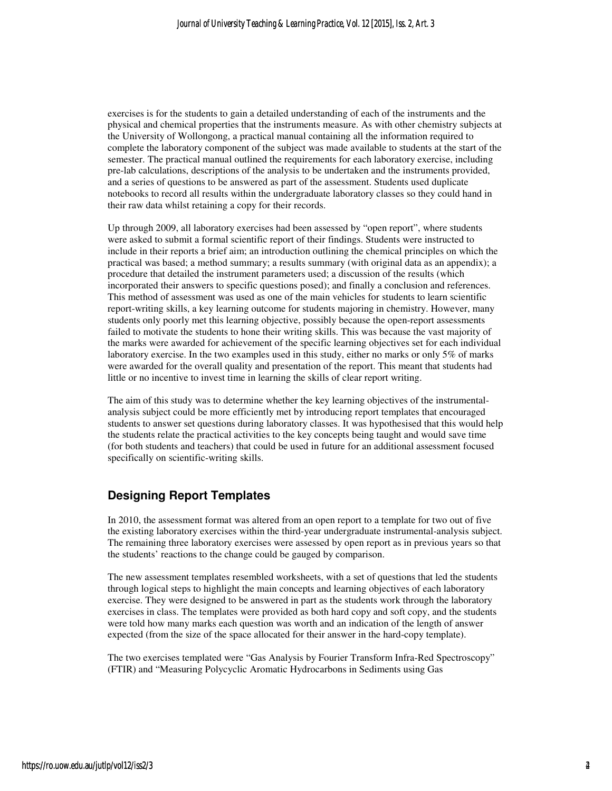exercises is for the students to gain a detailed understanding of each of the instruments and the physical and chemical properties that the instruments measure. As with other chemistry subjects at the University of Wollongong, a practical manual containing all the information required to complete the laboratory component of the subject was made available to students at the start of the semester. The practical manual outlined the requirements for each laboratory exercise, including pre-lab calculations, descriptions of the analysis to be undertaken and the instruments provided, and a series of questions to be answered as part of the assessment. Students used duplicate notebooks to record all results within the undergraduate laboratory classes so they could hand in their raw data whilst retaining a copy for their records.

Up through 2009, all laboratory exercises had been assessed by "open report", where students were asked to submit a formal scientific report of their findings. Students were instructed to include in their reports a brief aim; an introduction outlining the chemical principles on which the practical was based; a method summary; a results summary (with original data as an appendix); a procedure that detailed the instrument parameters used; a discussion of the results (which incorporated their answers to specific questions posed); and finally a conclusion and references. This method of assessment was used as one of the main vehicles for students to learn scientific report-writing skills, a key learning outcome for students majoring in chemistry. However, many students only poorly met this learning objective, possibly because the open-report assessments failed to motivate the students to hone their writing skills. This was because the vast majority of the marks were awarded for achievement of the specific learning objectives set for each individual laboratory exercise. In the two examples used in this study, either no marks or only 5% of marks were awarded for the overall quality and presentation of the report. This meant that students had little or no incentive to invest time in learning the skills of clear report writing.

The aim of this study was to determine whether the key learning objectives of the instrumentalanalysis subject could be more efficiently met by introducing report templates that encouraged students to answer set questions during laboratory classes. It was hypothesised that this would help the students relate the practical activities to the key concepts being taught and would save time (for both students and teachers) that could be used in future for an additional assessment focused specifically on scientific-writing skills.

## **Designing Report Templates**

In 2010, the assessment format was altered from an open report to a template for two out of five the existing laboratory exercises within the third-year undergraduate instrumental-analysis subject. The remaining three laboratory exercises were assessed by open report as in previous years so that the students' reactions to the change could be gauged by comparison.

The new assessment templates resembled worksheets, with a set of questions that led the students through logical steps to highlight the main concepts and learning objectives of each laboratory exercise. They were designed to be answered in part as the students work through the laboratory exercises in class. The templates were provided as both hard copy and soft copy, and the students were told how many marks each question was worth and an indication of the length of answer expected (from the size of the space allocated for their answer in the hard-copy template).

The two exercises templated were "Gas Analysis by Fourier Transform Infra-Red Spectroscopy" (FTIR) and "Measuring Polycyclic Aromatic Hydrocarbons in Sediments using Gas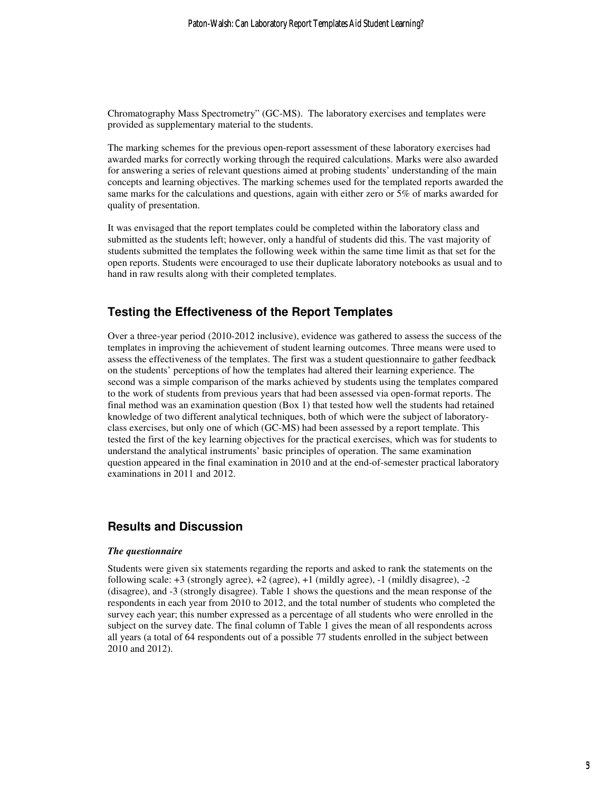Chromatography Mass Spectrometry" (GC-MS). The laboratory exercises and templates were provided as supplementary material to the students.

The marking schemes for the previous open-report assessment of these laboratory exercises had awarded marks for correctly working through the required calculations. Marks were also awarded for answering a series of relevant questions aimed at probing students' understanding of the main concepts and learning objectives. The marking schemes used for the templated reports awarded the same marks for the calculations and questions, again with either zero or 5% of marks awarded for quality of presentation.

It was envisaged that the report templates could be completed within the laboratory class and submitted as the students left; however, only a handful of students did this. The vast majority of students submitted the templates the following week within the same time limit as that set for the open reports. Students were encouraged to use their duplicate laboratory notebooks as usual and to hand in raw results along with their completed templates.

## **Testing the Effectiveness of the Report Templates**

Over a three-year period (2010-2012 inclusive), evidence was gathered to assess the success of the templates in improving the achievement of student learning outcomes. Three means were used to assess the effectiveness of the templates. The first was a student questionnaire to gather feedback on the students' perceptions of how the templates had altered their learning experience. The second was a simple comparison of the marks achieved by students using the templates compared to the work of students from previous years that had been assessed via open-format reports. The final method was an examination question (Box 1) that tested how well the students had retained knowledge of two different analytical techniques, both of which were the subject of laboratoryclass exercises, but only one of which (GC-MS) had been assessed by a report template. This tested the first of the key learning objectives for the practical exercises, which was for students to understand the analytical instruments' basic principles of operation. The same examination question appeared in the final examination in 2010 and at the end-of-semester practical laboratory examinations in 2011 and 2012.

## **Results and Discussion**

#### *The questionnaire*

Students were given six statements regarding the reports and asked to rank the statements on the following scale:  $+3$  (strongly agree),  $+2$  (agree),  $+1$  (mildly agree),  $-1$  (mildly disagree),  $-2$ (disagree), and -3 (strongly disagree). Table 1 shows the questions and the mean response of the respondents in each year from 2010 to 2012, and the total number of students who completed the survey each year; this number expressed as a percentage of all students who were enrolled in the subject on the survey date. The final column of Table 1 gives the mean of all respondents across all years (a total of 64 respondents out of a possible 77 students enrolled in the subject between 2010 and 2012).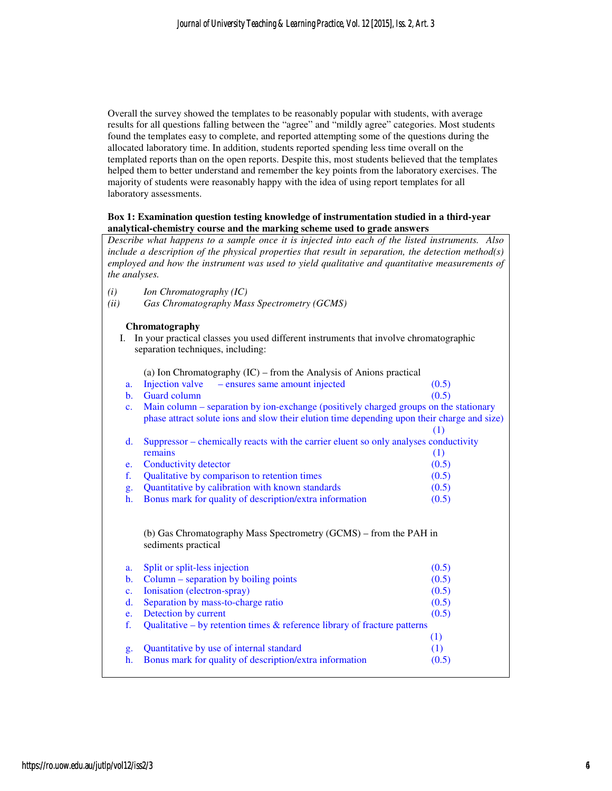Overall the survey showed the templates to be reasonably popular with students, with average results for all questions falling between the "agree" and "mildly agree" categories. Most students found the templates easy to complete, and reported attempting some of the questions during the allocated laboratory time. In addition, students reported spending less time overall on the templated reports than on the open reports. Despite this, most students believed that the templates helped them to better understand and remember the key points from the laboratory exercises. The majority of students were reasonably happy with the idea of using report templates for all laboratory assessments.

#### **Box 1: Examination question testing knowledge of instrumentation studied in a third-year analytical-chemistry course and the marking scheme used to grade answers**

*Describe what happens to a sample once it is injected into each of the listed instruments. Also include a description of the physical properties that result in separation, the detection method(s) employed and how the instrument was used to yield qualitative and quantitative measurements of the analyses.* 

- *(i) Ion Chromatography (IC)*
- *(ii) Gas Chromatography Mass Spectrometry (GCMS)*

#### **Chromatography**

| I. In your practical classes you used different instruments that involve chromatographic |
|------------------------------------------------------------------------------------------|
| separation techniques, including:                                                        |

(a) Ion Chromatography (IC) – from the Analysis of Anions practical

- a. Injection valve ensures same amount injected (0.5)
- b. Guard column  $(0.5)$ c. Main column – separation by ion-exchange (positively charged groups on the stationary phase attract solute ions and slow their elution time depending upon their charge and size)
- (1) d. Suppressor – chemically reacts with the carrier eluent so only analyses conductivity remains (1) (1)
- e. Conductivity detector (0.5) f. Qualitative by comparison to retention times (0.5) g. Quantitative by calibration with known standards (0.5)
- h. Bonus mark for quality of description/extra information (0.5)

 (b) Gas Chromatography Mass Spectrometry (GCMS) – from the PAH in sediments practical

| a.                                                                                          | Split or split-less injection                           | (0.5) |
|---------------------------------------------------------------------------------------------|---------------------------------------------------------|-------|
| $\mathbf{b}$ .                                                                              | Column – separation by boiling points                   | (0.5) |
|                                                                                             | c. Ionisation (electron-spray)                          | (0.5) |
| $d_{\cdot}$                                                                                 | Separation by mass-to-charge ratio                      | (0.5) |
| $e_{i}$                                                                                     | Detection by current                                    | (0.5) |
| Qualitative – by retention times $\&$ reference library of fracture patterns<br>$f_{\cdot}$ |                                                         |       |
|                                                                                             |                                                         | (1)   |
| g <sub>1</sub>                                                                              | Quantitative by use of internal standard                | (1)   |
| h.                                                                                          | Bonus mark for quality of description/extra information | (0.5) |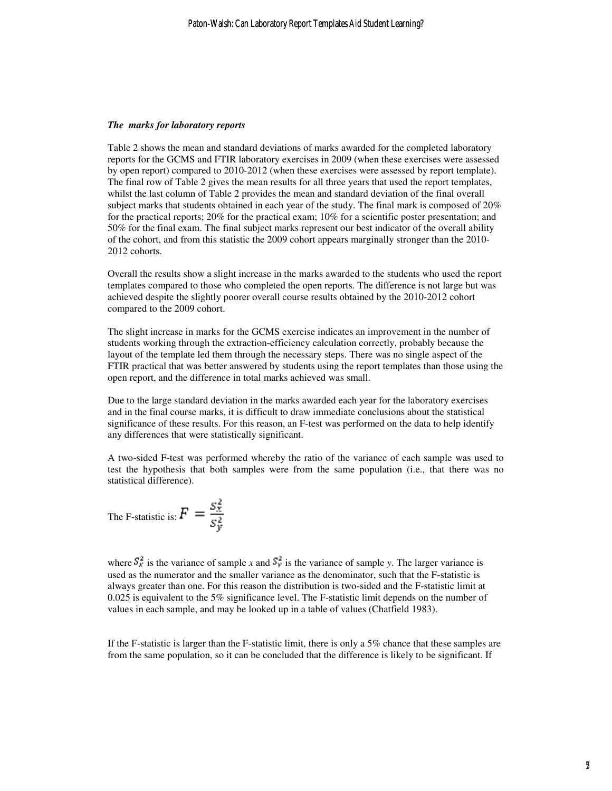#### *The marks for laboratory reports*

Table 2 shows the mean and standard deviations of marks awarded for the completed laboratory reports for the GCMS and FTIR laboratory exercises in 2009 (when these exercises were assessed by open report) compared to 2010-2012 (when these exercises were assessed by report template). The final row of Table 2 gives the mean results for all three years that used the report templates, whilst the last column of Table 2 provides the mean and standard deviation of the final overall subject marks that students obtained in each year of the study. The final mark is composed of 20% for the practical reports; 20% for the practical exam; 10% for a scientific poster presentation; and 50% for the final exam. The final subject marks represent our best indicator of the overall ability of the cohort, and from this statistic the 2009 cohort appears marginally stronger than the 2010- 2012 cohorts.

Overall the results show a slight increase in the marks awarded to the students who used the report templates compared to those who completed the open reports. The difference is not large but was achieved despite the slightly poorer overall course results obtained by the 2010-2012 cohort compared to the 2009 cohort.

The slight increase in marks for the GCMS exercise indicates an improvement in the number of students working through the extraction-efficiency calculation correctly, probably because the layout of the template led them through the necessary steps. There was no single aspect of the FTIR practical that was better answered by students using the report templates than those using the open report, and the difference in total marks achieved was small.

Due to the large standard deviation in the marks awarded each year for the laboratory exercises and in the final course marks, it is difficult to draw immediate conclusions about the statistical significance of these results. For this reason, an F-test was performed on the data to help identify any differences that were statistically significant.

A two-sided F-test was performed whereby the ratio of the variance of each sample was used to test the hypothesis that both samples were from the same population (i.e., that there was no statistical difference).

The F-statistic is: 
$$
F = \frac{S_X^2}{S_Y^2}
$$

where  $S_x^2$  is the variance of sample *x* and  $S_y^2$  is the variance of sample *y*. The larger variance is used as the numerator and the smaller variance as the denominator, such that the F-statistic is always greater than one. For this reason the distribution is two-sided and the F-statistic limit at 0.025 is equivalent to the 5% significance level. The F-statistic limit depends on the number of values in each sample, and may be looked up in a table of values (Chatfield 1983).

If the F-statistic is larger than the F-statistic limit, there is only a 5% chance that these samples are from the same population, so it can be concluded that the difference is likely to be significant. If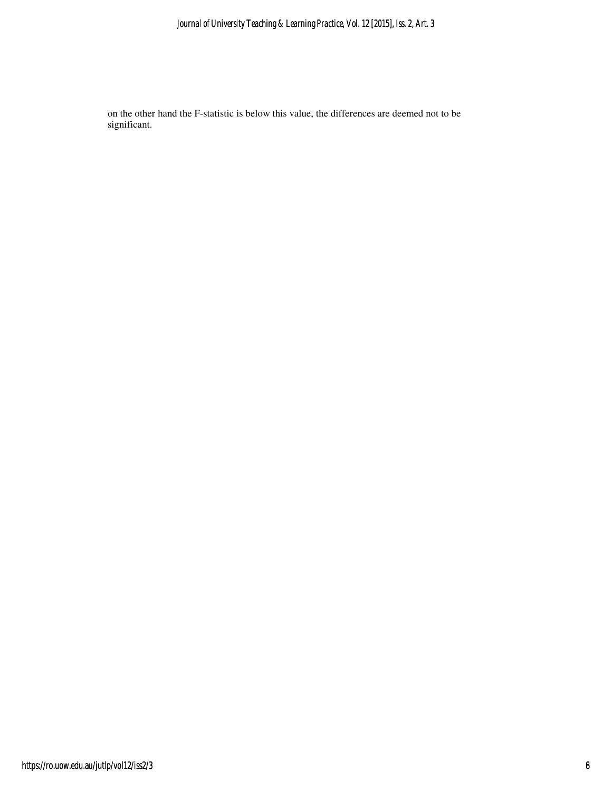on the other hand the F-statistic is below this value, the differences are deemed not to be significant.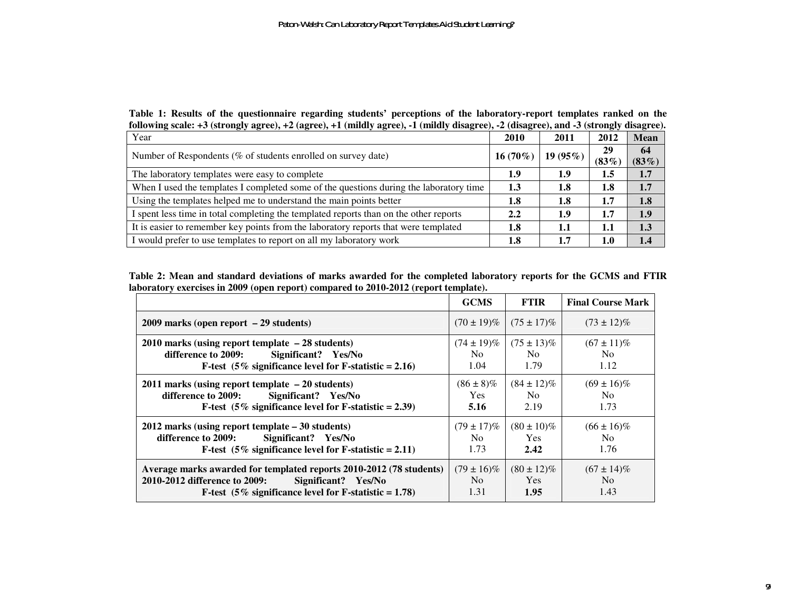**Table 1: Results of the questionnaire regarding students' perceptions of the laboratory-report templates ranked on the following scale: +3 (strongly agree), +2 (agree), +1 (mildly agree), -1 (mildly disagree), -2 (disagree), and -3 (strongly disagree).** 

| Year                                                                                   | 2010             | 2011        | 2012           | Mean           |
|----------------------------------------------------------------------------------------|------------------|-------------|----------------|----------------|
| Number of Respondents (% of students enrolled on survey date)                          | $16(70\%)$       | 19 $(95\%)$ | 29<br>$(83\%)$ | 64<br>$(83\%)$ |
| The laboratory templates were easy to complete                                         | 1.9              | 1.9         | 1.5            | 1.7            |
| When I used the templates I completed some of the questions during the laboratory time | 1.3              | 1.8         | 1.8            | 1.7            |
| Using the templates helped me to understand the main points better                     | 1.8              | 1.8         | 1.7            | 1.8            |
| I spent less time in total completing the templated reports than on the other reports  | $2.2\phantom{0}$ | 1.9         | 1.7            | 1.9            |
| It is easier to remember key points from the laboratory reports that were templated    | 1.8              | 1.1         | 1.1            | 1.3            |
| I would prefer to use templates to report on all my laboratory work                    | 1.8              | 1.7         | $1.0\,$        | 1.4            |

**Table 2: Mean and standard deviations of marks awarded for the completed laboratory reports for the GCMS and FTIR laboratory exercises in 2009 (open report) compared to 2010-2012 (report template).** 

|                                                                                                                                                                                         | <b>GCMS</b>                          | <b>FTIR</b>                               | <b>Final Course Mark</b>                  |
|-----------------------------------------------------------------------------------------------------------------------------------------------------------------------------------------|--------------------------------------|-------------------------------------------|-------------------------------------------|
| $2009$ marks (open report $-29$ students)                                                                                                                                               | $(70 \pm 19)\%$                      | $(75 \pm 17)\%$                           | $(73 \pm 12)\%$                           |
| $2010$ marks (using report template $-28$ students)<br>Significant? Yes/No<br>difference to 2009:<br>F-test $(5\%$ significance level for F-statistic = 2.16)                           | $(74 \pm 19)\%$<br>No.<br>1.04       | $(75 \pm 13)\%$<br>N <sub>0</sub><br>1.79 | $(67 \pm 11)\%$<br>N <sub>0</sub><br>1.12 |
| $2011$ marks (using report template $-20$ students)<br>Significant? Yes/No<br>difference to 2009:<br>F-test $(5\%$ significance level for F-statistic = 2.39)                           | $(86 \pm 8)\%$<br><b>Yes</b><br>5.16 | $(84 \pm 12)\%$<br>No.<br>2.19            | $(69 \pm 16)\%$<br>No.<br>1.73            |
| $2012$ marks (using report template $-30$ students)<br>difference to 2009:<br>Significant? Yes/No<br><b>F-test</b> (5% significance level for F-statistic = 2.11)                       | $(79 \pm 17)\%$<br>No.<br>1.73       | $(80 \pm 10)\%$<br><b>Yes</b><br>2.42     | $(66 \pm 16)\%$<br>N <sub>0</sub><br>1.76 |
| Average marks awarded for templated reports 2010-2012 (78 students)<br>2010-2012 difference to 2009:<br>Significant? Yes/No<br>F-test $(5\%$ significance level for F-statistic = 1.78) | $(79 \pm 16)\%$<br>No.<br>1.31       | $(80 \pm 12)\%$<br><b>Yes</b><br>1.95     | $(67 \pm 14)\%$<br>No.<br>1.43            |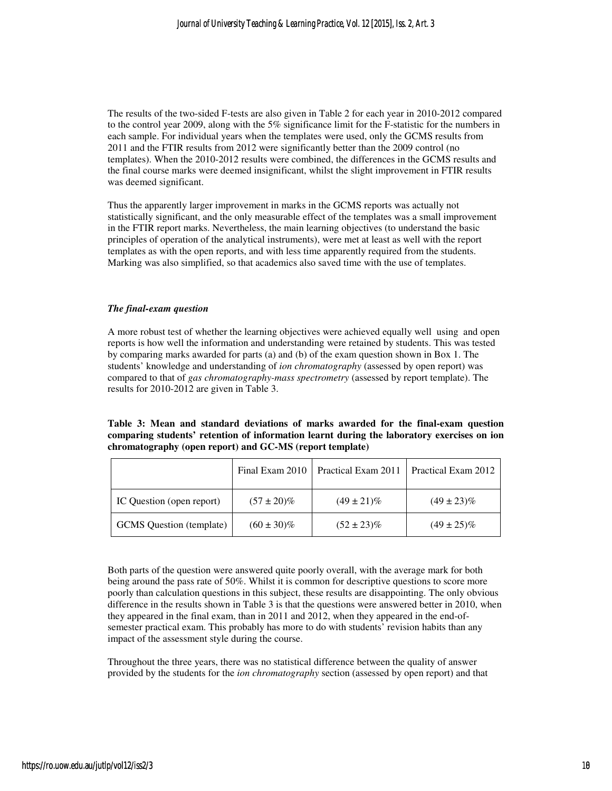The results of the two-sided F-tests are also given in Table 2 for each year in 2010-2012 compared to the control year 2009, along with the 5% significance limit for the F-statistic for the numbers in each sample. For individual years when the templates were used, only the GCMS results from 2011 and the FTIR results from 2012 were significantly better than the 2009 control (no templates). When the 2010-2012 results were combined, the differences in the GCMS results and the final course marks were deemed insignificant, whilst the slight improvement in FTIR results was deemed significant.

Thus the apparently larger improvement in marks in the GCMS reports was actually not statistically significant, and the only measurable effect of the templates was a small improvement in the FTIR report marks. Nevertheless, the main learning objectives (to understand the basic principles of operation of the analytical instruments), were met at least as well with the report templates as with the open reports, and with less time apparently required from the students. Marking was also simplified, so that academics also saved time with the use of templates.

#### *The final-exam question*

A more robust test of whether the learning objectives were achieved equally well using and open reports is how well the information and understanding were retained by students. This was tested by comparing marks awarded for parts (a) and (b) of the exam question shown in Box 1. The students' knowledge and understanding of *ion chromatography* (assessed by open report) was compared to that of *gas chromatography-mass spectrometry* (assessed by report template). The results for 2010-2012 are given in Table 3.

**Table 3: Mean and standard deviations of marks awarded for the final-exam question comparing students' retention of information learnt during the laboratory exercises on ion chromatography (open report) and GC-MS (report template)**

|                                 | Final Exam 2010 | Practical Exam 2011 | Practical Exam 2012 |
|---------------------------------|-----------------|---------------------|---------------------|
| IC Question (open report)       | $(57 \pm 20)\%$ | $(49 \pm 21)\%$     | $(49 \pm 23)\%$     |
| <b>GCMS</b> Question (template) | $(60 \pm 30)\%$ | $(52 \pm 23)\%$     | $(49 \pm 25)\%$     |

Both parts of the question were answered quite poorly overall, with the average mark for both being around the pass rate of 50%. Whilst it is common for descriptive questions to score more poorly than calculation questions in this subject, these results are disappointing. The only obvious difference in the results shown in Table 3 is that the questions were answered better in 2010, when they appeared in the final exam, than in 2011 and 2012, when they appeared in the end-ofsemester practical exam. This probably has more to do with students' revision habits than any impact of the assessment style during the course.

Throughout the three years, there was no statistical difference between the quality of answer provided by the students for the *ion chromatography* section (assessed by open report) and that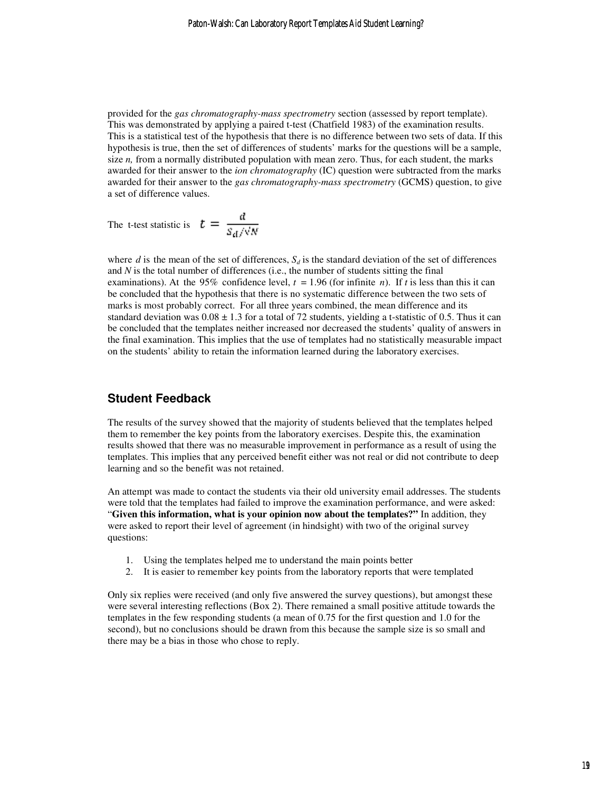provided for the *gas chromatography-mass spectrometry* section (assessed by report template). This was demonstrated by applying a paired t-test (Chatfield 1983) of the examination results. This is a statistical test of the hypothesis that there is no difference between two sets of data. If this hypothesis is true, then the set of differences of students' marks for the questions will be a sample, size *n*, from a normally distributed population with mean zero. Thus, for each student, the marks awarded for their answer to the *ion chromatography* (IC) question were subtracted from the marks awarded for their answer to the *gas chromatography-mass spectrometry* (GCMS) question, to give a set of difference values.

The t-test statistic is 
$$
t = \frac{d}{S_d / \sqrt{N}}
$$

where *d* is the mean of the set of differences,  $S_d$  is the standard deviation of the set of differences and  $N$  is the total number of differences (i.e., the number of students sitting the final examinations). At the 95% confidence level,  $t = 1.96$  (for infinite *n*). If *t* is less than this it can be concluded that the hypothesis that there is no systematic difference between the two sets of marks is most probably correct. For all three years combined, the mean difference and its standard deviation was  $0.08 \pm 1.3$  for a total of 72 students, yielding a t-statistic of 0.5. Thus it can be concluded that the templates neither increased nor decreased the students' quality of answers in the final examination. This implies that the use of templates had no statistically measurable impact on the students' ability to retain the information learned during the laboratory exercises.

### **Student Feedback**

The results of the survey showed that the majority of students believed that the templates helped them to remember the key points from the laboratory exercises. Despite this, the examination results showed that there was no measurable improvement in performance as a result of using the templates. This implies that any perceived benefit either was not real or did not contribute to deep learning and so the benefit was not retained.

An attempt was made to contact the students via their old university email addresses. The students were told that the templates had failed to improve the examination performance, and were asked: "**Given this information, what is your opinion now about the templates?"** In addition, they were asked to report their level of agreement (in hindsight) with two of the original survey questions:

- 1. Using the templates helped me to understand the main points better
- 2. It is easier to remember key points from the laboratory reports that were templated

Only six replies were received (and only five answered the survey questions), but amongst these were several interesting reflections (Box 2). There remained a small positive attitude towards the templates in the few responding students (a mean of 0.75 for the first question and 1.0 for the second), but no conclusions should be drawn from this because the sample size is so small and there may be a bias in those who chose to reply.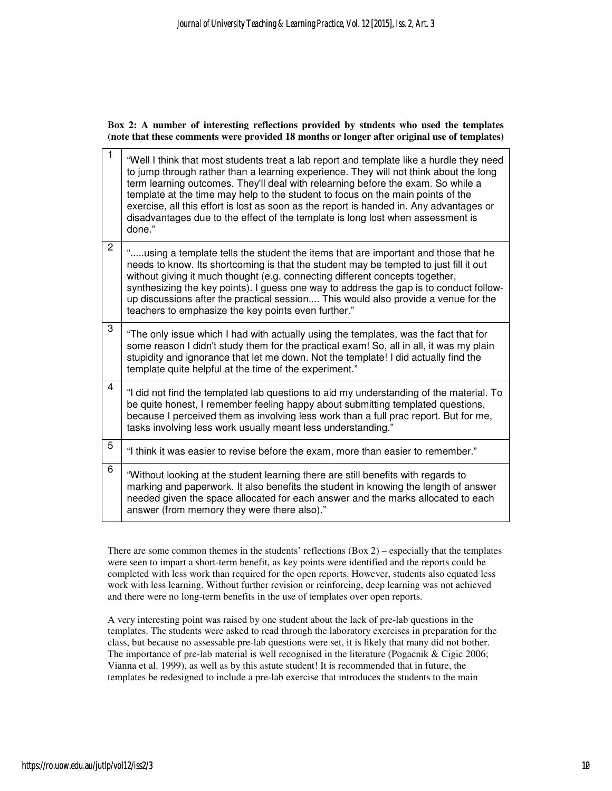**Box 2: A number of interesting reflections provided by students who used the templates (note that these comments were provided 18 months or longer after original use of templates)** 

| $\mathbf{1}$   | "Well I think that most students treat a lab report and template like a hurdle they need<br>to jump through rather than a learning experience. They will not think about the long<br>term learning outcomes. They'll deal with relearning before the exam. So while a<br>template at the time may help to the student to focus on the main points of the<br>exercise, all this effort is lost as soon as the report is handed in. Any advantages or<br>disadvantages due to the effect of the template is long lost when assessment is<br>done." |
|----------------|--------------------------------------------------------------------------------------------------------------------------------------------------------------------------------------------------------------------------------------------------------------------------------------------------------------------------------------------------------------------------------------------------------------------------------------------------------------------------------------------------------------------------------------------------|
| $\overline{2}$ | "using a template tells the student the items that are important and those that he<br>needs to know. Its shortcoming is that the student may be tempted to just fill it out<br>without giving it much thought (e.g. connecting different concepts together,<br>synthesizing the key points). I guess one way to address the gap is to conduct follow-<br>up discussions after the practical session This would also provide a venue for the<br>teachers to emphasize the key points even further."                                               |
| 3              | "The only issue which I had with actually using the templates, was the fact that for<br>some reason I didn't study them for the practical exam! So, all in all, it was my plain<br>stupidity and ignorance that let me down. Not the template! I did actually find the<br>template quite helpful at the time of the experiment."                                                                                                                                                                                                                 |
| 4              | "I did not find the templated lab questions to aid my understanding of the material. To<br>be quite honest, I remember feeling happy about submitting templated questions,<br>because I perceived them as involving less work than a full prac report. But for me,<br>tasks involving less work usually meant less understanding."                                                                                                                                                                                                               |
| 5              | "I think it was easier to revise before the exam, more than easier to remember."                                                                                                                                                                                                                                                                                                                                                                                                                                                                 |
| 6              | "Without looking at the student learning there are still benefits with regards to<br>marking and paperwork. It also benefits the student in knowing the length of answer<br>needed given the space allocated for each answer and the marks allocated to each<br>answer (from memory they were there also)."                                                                                                                                                                                                                                      |

There are some common themes in the students' reflections  $(Box 2)$  – especially that the templates were seen to impart a short-term benefit, as key points were identified and the reports could be completed with less work than required for the open reports. However, students also equated less work with less learning. Without further revision or reinforcing, deep learning was not achieved and there were no long-term benefits in the use of templates over open reports.

A very interesting point was raised by one student about the lack of pre-lab questions in the templates. The students were asked to read through the laboratory exercises in preparation for the class, but because no assessable pre-lab questions were set, it is likely that many did not bother. The importance of pre-lab material is well recognised in the literature (Pogacnik & Cigic 2006; Vianna et al. 1999), as well as by this astute student! It is recommended that in future, the templates be redesigned to include a pre-lab exercise that introduces the students to the main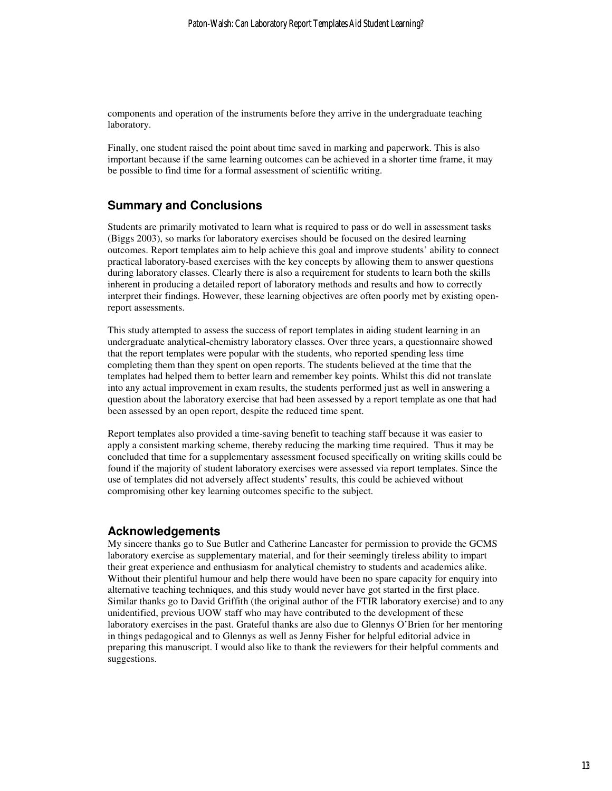components and operation of the instruments before they arrive in the undergraduate teaching laboratory.

Finally, one student raised the point about time saved in marking and paperwork. This is also important because if the same learning outcomes can be achieved in a shorter time frame, it may be possible to find time for a formal assessment of scientific writing.

## **Summary and Conclusions**

Students are primarily motivated to learn what is required to pass or do well in assessment tasks (Biggs 2003), so marks for laboratory exercises should be focused on the desired learning outcomes. Report templates aim to help achieve this goal and improve students' ability to connect practical laboratory-based exercises with the key concepts by allowing them to answer questions during laboratory classes. Clearly there is also a requirement for students to learn both the skills inherent in producing a detailed report of laboratory methods and results and how to correctly interpret their findings. However, these learning objectives are often poorly met by existing openreport assessments.

This study attempted to assess the success of report templates in aiding student learning in an undergraduate analytical-chemistry laboratory classes. Over three years, a questionnaire showed that the report templates were popular with the students, who reported spending less time completing them than they spent on open reports. The students believed at the time that the templates had helped them to better learn and remember key points. Whilst this did not translate into any actual improvement in exam results, the students performed just as well in answering a question about the laboratory exercise that had been assessed by a report template as one that had been assessed by an open report, despite the reduced time spent.

Report templates also provided a time-saving benefit to teaching staff because it was easier to apply a consistent marking scheme, thereby reducing the marking time required. Thus it may be concluded that time for a supplementary assessment focused specifically on writing skills could be found if the majority of student laboratory exercises were assessed via report templates. Since the use of templates did not adversely affect students' results, this could be achieved without compromising other key learning outcomes specific to the subject.

### **Acknowledgements**

My sincere thanks go to Sue Butler and Catherine Lancaster for permission to provide the GCMS laboratory exercise as supplementary material, and for their seemingly tireless ability to impart their great experience and enthusiasm for analytical chemistry to students and academics alike. Without their plentiful humour and help there would have been no spare capacity for enquiry into alternative teaching techniques, and this study would never have got started in the first place. Similar thanks go to David Griffith (the original author of the FTIR laboratory exercise) and to any unidentified, previous UOW staff who may have contributed to the development of these laboratory exercises in the past. Grateful thanks are also due to Glennys O'Brien for her mentoring in things pedagogical and to Glennys as well as Jenny Fisher for helpful editorial advice in preparing this manuscript. I would also like to thank the reviewers for their helpful comments and suggestions.